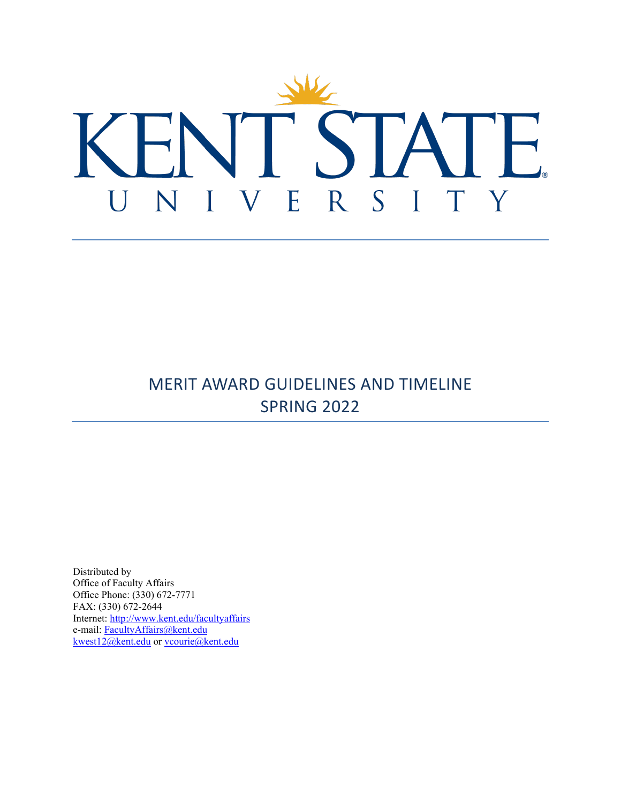

MERIT AWARD GUIDELINES AND TIMELINE SPRING 2022

Distributed by Office of Faculty Affairs Office Phone: (330) 672-7771 FAX: (330) 672-2644 Internet:<http://www.kent.edu/facultyaffairs> e-mail: [FacultyAffairs@kent.edu](mailto:FacultyAffairs@kent.edu) [kwest12@kent.edu](mailto:kwest12@kent.edu) or [vcourie@kent.edu](mailto:vcourie@kent.edu)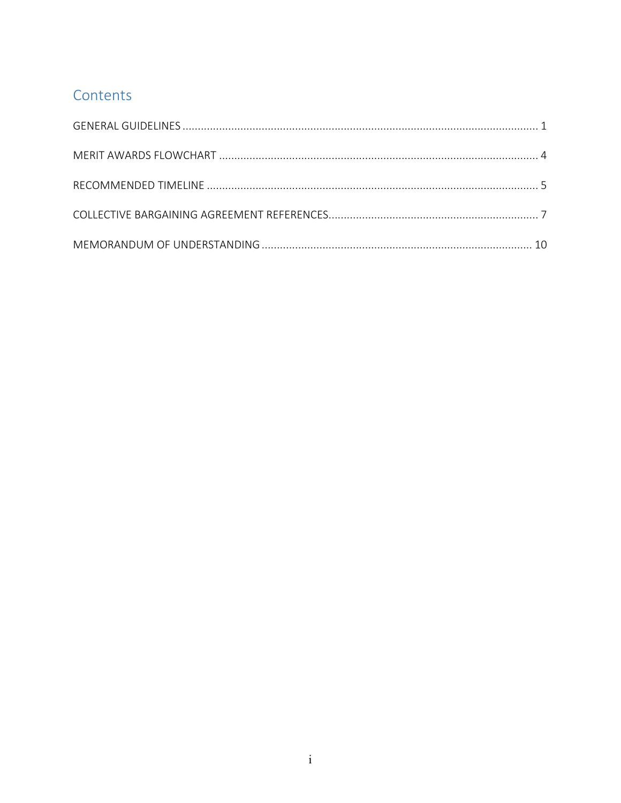# Contents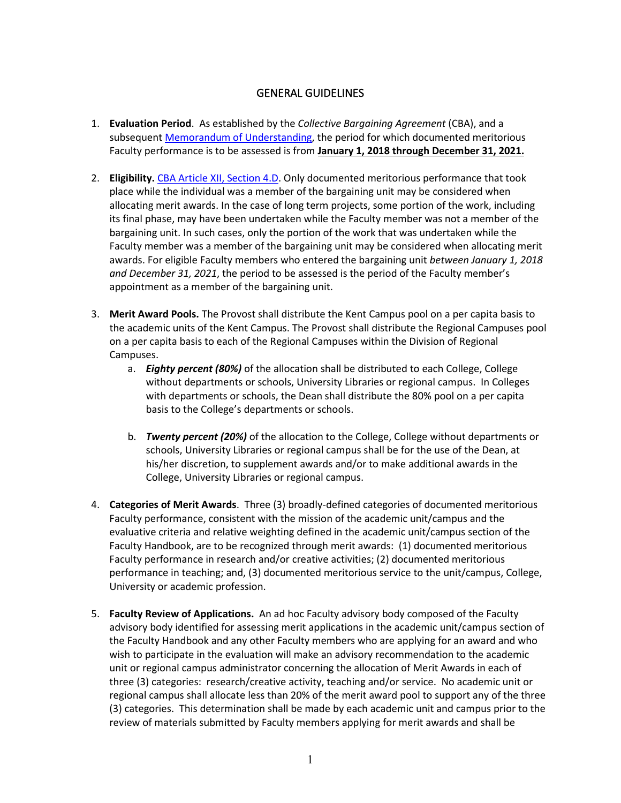## GENERAL GUIDELINES

- <span id="page-2-0"></span>1. **Evaluation Period**. As established by the *Collective Bargaining Agreement* (CBA), and a subsequen[t Memorandum of Understanding,](#page-11-0) the period for which documented meritorious Faculty performance is to be assessed is from **January 1, 2018 through December 31, 2021.**
- 2. **Eligibility.** [CBA Article XII, Section 4.D.](#page-8-0) Only documented meritorious performance that took place while the individual was a member of the bargaining unit may be considered when allocating merit awards. In the case of long term projects, some portion of the work, including its final phase, may have been undertaken while the Faculty member was not a member of the bargaining unit. In such cases, only the portion of the work that was undertaken while the Faculty member was a member of the bargaining unit may be considered when allocating merit awards. For eligible Faculty members who entered the bargaining unit *between January 1, 2018 and December 31, 2021*, the period to be assessed is the period of the Faculty member's appointment as a member of the bargaining unit.
- 3. **Merit Award Pools.** The Provost shall distribute the Kent Campus pool on a per capita basis to the academic units of the Kent Campus. The Provost shall distribute the Regional Campuses pool on a per capita basis to each of the Regional Campuses within the Division of Regional Campuses.
	- a. *Eighty percent (80%)* of the allocation shall be distributed to each College, College without departments or schools, University Libraries or regional campus. In Colleges with departments or schools, the Dean shall distribute the 80% pool on a per capita basis to the College's departments or schools.
	- b. *Twenty percent (20%)* of the allocation to the College, College without departments or schools, University Libraries or regional campus shall be for the use of the Dean, at his/her discretion, to supplement awards and/or to make additional awards in the College, University Libraries or regional campus.
- 4. **Categories of Merit Awards**. Three (3) broadly-defined categories of documented meritorious Faculty performance, consistent with the mission of the academic unit/campus and the evaluative criteria and relative weighting defined in the academic unit/campus section of the Faculty Handbook, are to be recognized through merit awards: (1) documented meritorious Faculty performance in research and/or creative activities; (2) documented meritorious performance in teaching; and, (3) documented meritorious service to the unit/campus, College, University or academic profession.
- 5. **Faculty Review of Applications.** An ad hoc Faculty advisory body composed of the Faculty advisory body identified for assessing merit applications in the academic unit/campus section of the Faculty Handbook and any other Faculty members who are applying for an award and who wish to participate in the evaluation will make an advisory recommendation to the academic unit or regional campus administrator concerning the allocation of Merit Awards in each of three (3) categories: research/creative activity, teaching and/or service. No academic unit or regional campus shall allocate less than 20% of the merit award pool to support any of the three (3) categories. This determination shall be made by each academic unit and campus prior to the review of materials submitted by Faculty members applying for merit awards and shall be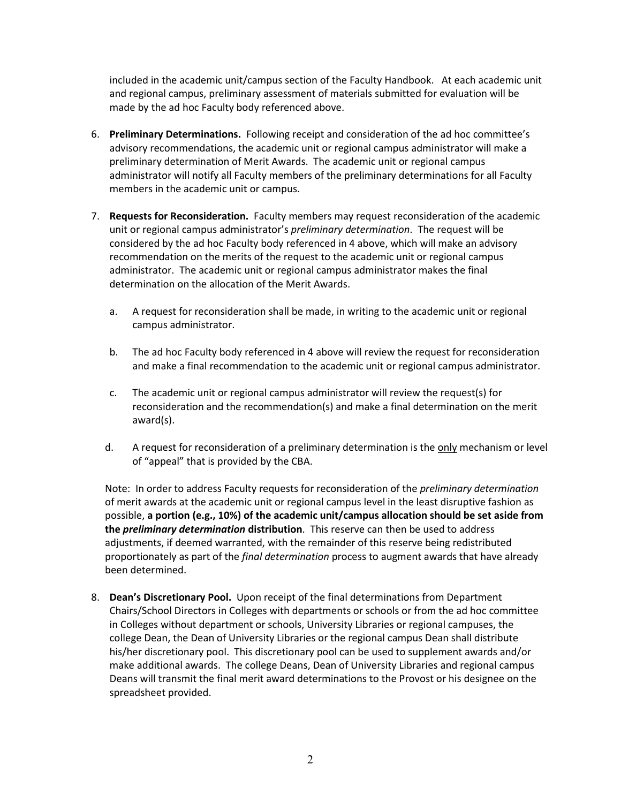included in the academic unit/campus section of the Faculty Handbook. At each academic unit and regional campus, preliminary assessment of materials submitted for evaluation will be made by the ad hoc Faculty body referenced above.

- 6. **Preliminary Determinations.** Following receipt and consideration of the ad hoc committee's advisory recommendations, the academic unit or regional campus administrator will make a preliminary determination of Merit Awards. The academic unit or regional campus administrator will notify all Faculty members of the preliminary determinations for all Faculty members in the academic unit or campus.
- 7. **Requests for Reconsideration.** Faculty members may request reconsideration of the academic unit or regional campus administrator's *preliminary determination*. The request will be considered by the ad hoc Faculty body referenced in 4 above, which will make an advisory recommendation on the merits of the request to the academic unit or regional campus administrator. The academic unit or regional campus administrator makes the final determination on the allocation of the Merit Awards.
	- a. A request for reconsideration shall be made, in writing to the academic unit or regional campus administrator.
	- b. The ad hoc Faculty body referenced in 4 above will review the request for reconsideration and make a final recommendation to the academic unit or regional campus administrator.
	- c. The academic unit or regional campus administrator will review the request(s) for reconsideration and the recommendation(s) and make a final determination on the merit award(s).
	- d. A request for reconsideration of a preliminary determination is the only mechanism or level of "appeal" that is provided by the CBA.

Note: In order to address Faculty requests for reconsideration of the *preliminary determination* of merit awards at the academic unit or regional campus level in the least disruptive fashion as possible, **a portion (e.g., 10%) of the academic unit/campus allocation should be set aside from the** *preliminary determination* **distribution**. This reserve can then be used to address adjustments, if deemed warranted, with the remainder of this reserve being redistributed proportionately as part of the *final determination* process to augment awards that have already been determined.

8. **Dean's Discretionary Pool.** Upon receipt of the final determinations from Department Chairs/School Directors in Colleges with departments or schools or from the ad hoc committee in Colleges without department or schools, University Libraries or regional campuses, the college Dean, the Dean of University Libraries or the regional campus Dean shall distribute his/her discretionary pool. This discretionary pool can be used to supplement awards and/or make additional awards. The college Deans, Dean of University Libraries and regional campus Deans will transmit the final merit award determinations to the Provost or his designee on the spreadsheet provided.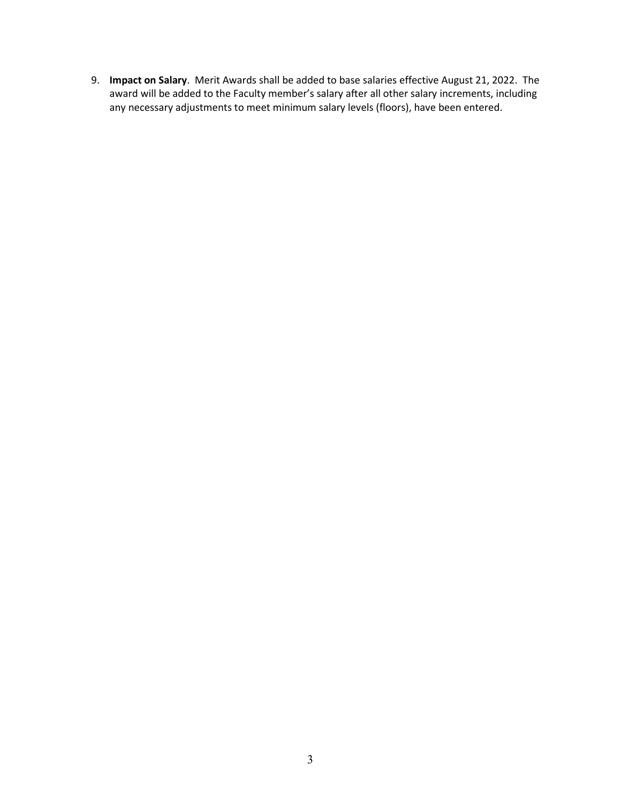9. **Impact on Salary**. Merit Awards shall be added to base salaries effective August 21, 2022. The award will be added to the Faculty member's salary after all other salary increments, including any necessary adjustments to meet minimum salary levels (floors), have been entered.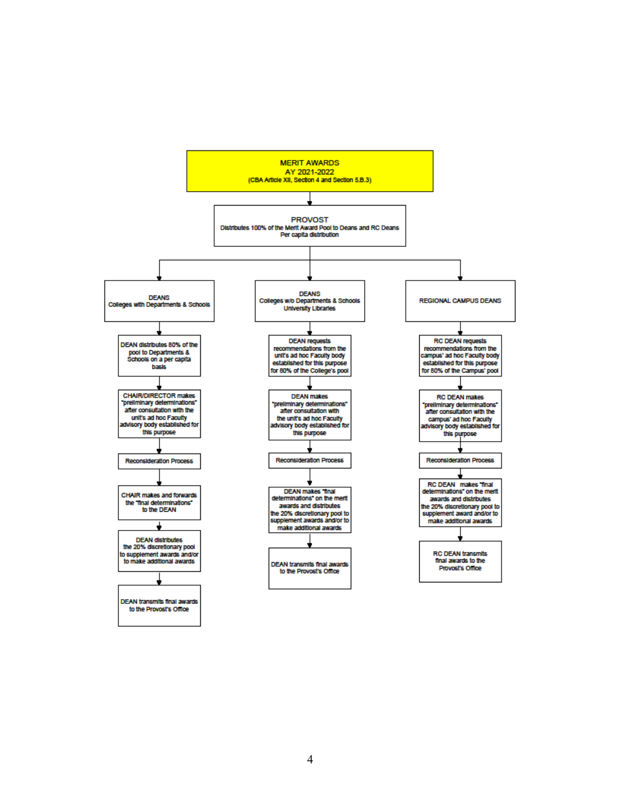<span id="page-5-0"></span>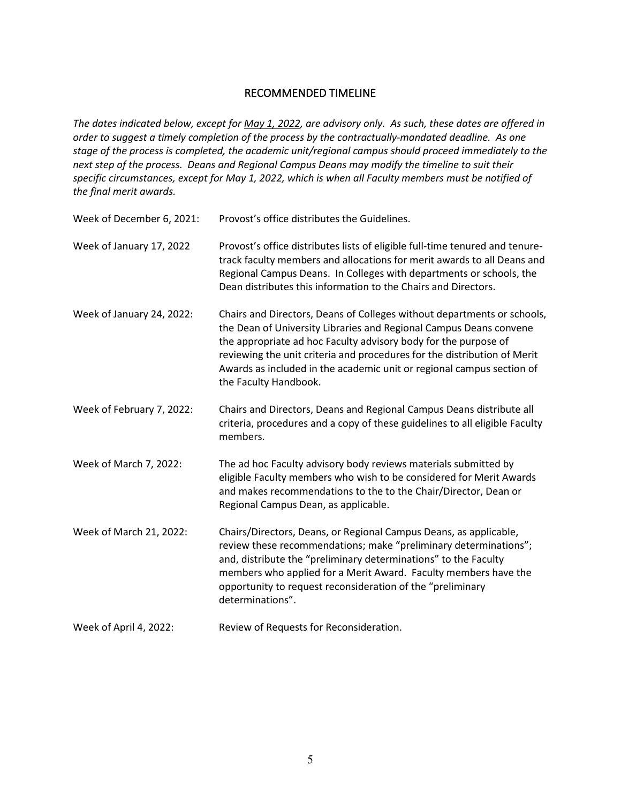### RECOMMENDED TIMELINE

<span id="page-6-0"></span>*The dates indicated below, except for May 1, 2022, are advisory only. As such, these dates are offered in order to suggest a timely completion of the process by the contractually-mandated deadline. As one stage of the process is completed, the academic unit/regional campus should proceed immediately to the next step of the process. Deans and Regional Campus Deans may modify the timeline to suit their specific circumstances, except for May 1, 2022, which is when all Faculty members must be notified of the final merit awards.* 

| Week of December 6, 2021: | Provost's office distributes the Guidelines.                                                                                                                                                                                                                                                                                                                                                   |
|---------------------------|------------------------------------------------------------------------------------------------------------------------------------------------------------------------------------------------------------------------------------------------------------------------------------------------------------------------------------------------------------------------------------------------|
| Week of January 17, 2022  | Provost's office distributes lists of eligible full-time tenured and tenure-<br>track faculty members and allocations for merit awards to all Deans and<br>Regional Campus Deans. In Colleges with departments or schools, the<br>Dean distributes this information to the Chairs and Directors.                                                                                               |
| Week of January 24, 2022: | Chairs and Directors, Deans of Colleges without departments or schools,<br>the Dean of University Libraries and Regional Campus Deans convene<br>the appropriate ad hoc Faculty advisory body for the purpose of<br>reviewing the unit criteria and procedures for the distribution of Merit<br>Awards as included in the academic unit or regional campus section of<br>the Faculty Handbook. |
| Week of February 7, 2022: | Chairs and Directors, Deans and Regional Campus Deans distribute all<br>criteria, procedures and a copy of these guidelines to all eligible Faculty<br>members.                                                                                                                                                                                                                                |
| Week of March 7, 2022:    | The ad hoc Faculty advisory body reviews materials submitted by<br>eligible Faculty members who wish to be considered for Merit Awards<br>and makes recommendations to the to the Chair/Director, Dean or<br>Regional Campus Dean, as applicable.                                                                                                                                              |
| Week of March 21, 2022:   | Chairs/Directors, Deans, or Regional Campus Deans, as applicable,<br>review these recommendations; make "preliminary determinations";<br>and, distribute the "preliminary determinations" to the Faculty<br>members who applied for a Merit Award. Faculty members have the<br>opportunity to request reconsideration of the "preliminary<br>determinations".                                  |
| Week of April 4, 2022:    | Review of Requests for Reconsideration.                                                                                                                                                                                                                                                                                                                                                        |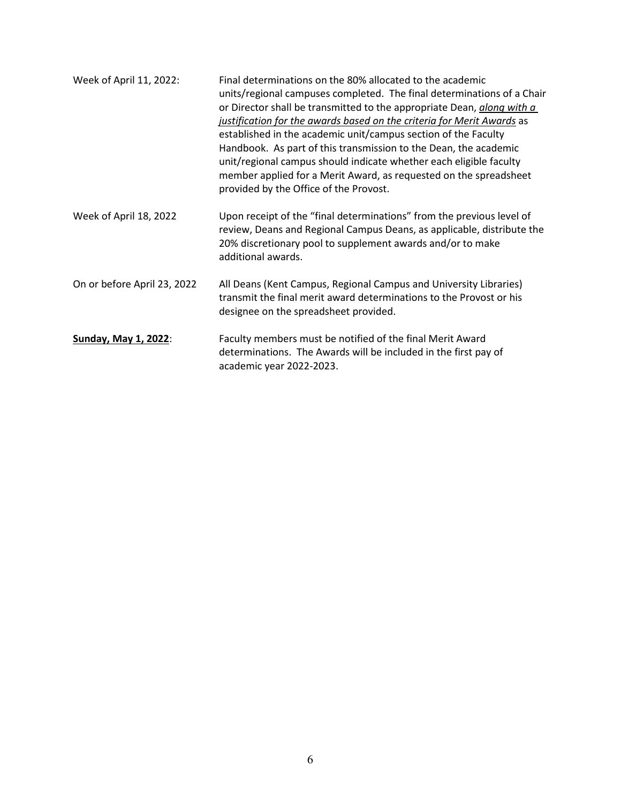| Week of April 11, 2022:     | Final determinations on the 80% allocated to the academic<br>units/regional campuses completed. The final determinations of a Chair<br>or Director shall be transmitted to the appropriate Dean, along with a<br>justification for the awards based on the criteria for Merit Awards as<br>established in the academic unit/campus section of the Faculty<br>Handbook. As part of this transmission to the Dean, the academic<br>unit/regional campus should indicate whether each eligible faculty<br>member applied for a Merit Award, as requested on the spreadsheet<br>provided by the Office of the Provost. |
|-----------------------------|--------------------------------------------------------------------------------------------------------------------------------------------------------------------------------------------------------------------------------------------------------------------------------------------------------------------------------------------------------------------------------------------------------------------------------------------------------------------------------------------------------------------------------------------------------------------------------------------------------------------|
| Week of April 18, 2022      | Upon receipt of the "final determinations" from the previous level of<br>review, Deans and Regional Campus Deans, as applicable, distribute the<br>20% discretionary pool to supplement awards and/or to make<br>additional awards.                                                                                                                                                                                                                                                                                                                                                                                |
| On or before April 23, 2022 | All Deans (Kent Campus, Regional Campus and University Libraries)<br>transmit the final merit award determinations to the Provost or his<br>designee on the spreadsheet provided.                                                                                                                                                                                                                                                                                                                                                                                                                                  |
| <b>Sunday, May 1, 2022:</b> | Faculty members must be notified of the final Merit Award<br>determinations. The Awards will be included in the first pay of<br>academic year 2022-2023.                                                                                                                                                                                                                                                                                                                                                                                                                                                           |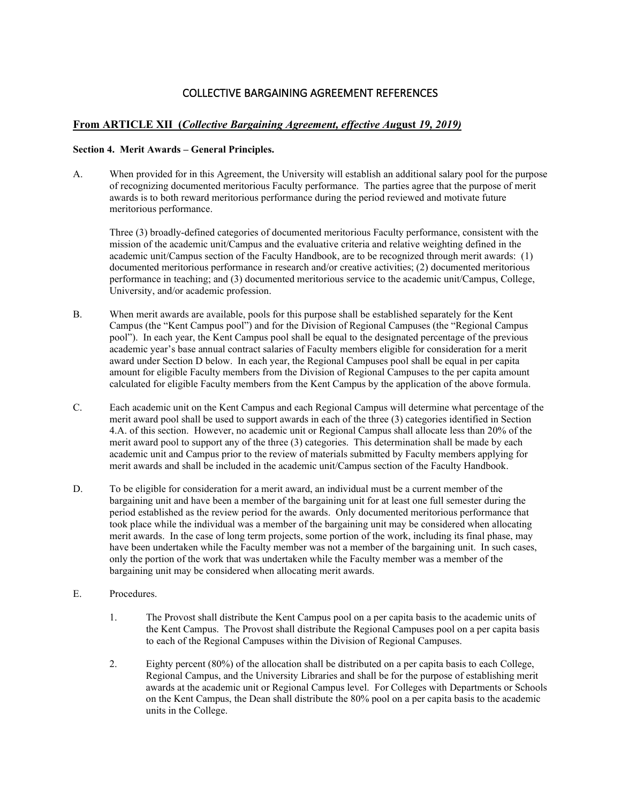## COLLECTIVE BARGAINING AGREEMENT REFERENCES

#### <span id="page-8-0"></span>**From ARTICLE XII (***Collective Bargaining Agreement, effective Au***gust** *19, 2019)*

#### **Section 4. Merit Awards – General Principles.**

A. When provided for in this Agreement, the University will establish an additional salary pool for the purpose of recognizing documented meritorious Faculty performance. The parties agree that the purpose of merit awards is to both reward meritorious performance during the period reviewed and motivate future meritorious performance.

Three (3) broadly-defined categories of documented meritorious Faculty performance, consistent with the mission of the academic unit/Campus and the evaluative criteria and relative weighting defined in the academic unit/Campus section of the Faculty Handbook, are to be recognized through merit awards: (1) documented meritorious performance in research and/or creative activities; (2) documented meritorious performance in teaching; and (3) documented meritorious service to the academic unit/Campus, College, University, and/or academic profession.

- B. When merit awards are available, pools for this purpose shall be established separately for the Kent Campus (the "Kent Campus pool") and for the Division of Regional Campuses (the "Regional Campus pool"). In each year, the Kent Campus pool shall be equal to the designated percentage of the previous academic year's base annual contract salaries of Faculty members eligible for consideration for a merit award under Section D below. In each year, the Regional Campuses pool shall be equal in per capita amount for eligible Faculty members from the Division of Regional Campuses to the per capita amount calculated for eligible Faculty members from the Kent Campus by the application of the above formula.
- C. Each academic unit on the Kent Campus and each Regional Campus will determine what percentage of the merit award pool shall be used to support awards in each of the three (3) categories identified in Section 4.A. of this section. However, no academic unit or Regional Campus shall allocate less than 20% of the merit award pool to support any of the three (3) categories. This determination shall be made by each academic unit and Campus prior to the review of materials submitted by Faculty members applying for merit awards and shall be included in the academic unit/Campus section of the Faculty Handbook.
- D. To be eligible for consideration for a merit award, an individual must be a current member of the bargaining unit and have been a member of the bargaining unit for at least one full semester during the period established as the review period for the awards. Only documented meritorious performance that took place while the individual was a member of the bargaining unit may be considered when allocating merit awards. In the case of long term projects, some portion of the work, including its final phase, may have been undertaken while the Faculty member was not a member of the bargaining unit. In such cases, only the portion of the work that was undertaken while the Faculty member was a member of the bargaining unit may be considered when allocating merit awards.
- E. Procedures.
	- 1. The Provost shall distribute the Kent Campus pool on a per capita basis to the academic units of the Kent Campus. The Provost shall distribute the Regional Campuses pool on a per capita basis to each of the Regional Campuses within the Division of Regional Campuses.
	- 2. Eighty percent (80%) of the allocation shall be distributed on a per capita basis to each College, Regional Campus, and the University Libraries and shall be for the purpose of establishing merit awards at the academic unit or Regional Campus level. For Colleges with Departments or Schools on the Kent Campus, the Dean shall distribute the 80% pool on a per capita basis to the academic units in the College.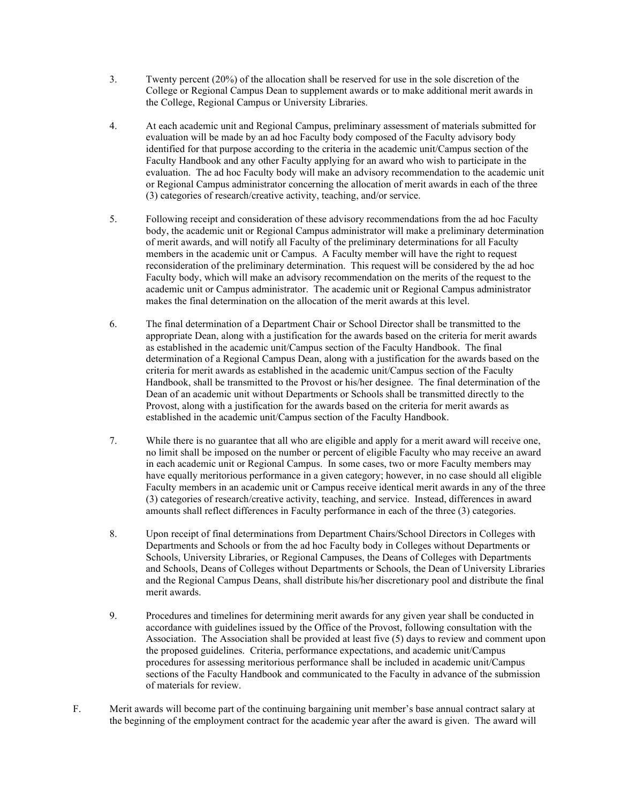- 3. Twenty percent (20%) of the allocation shall be reserved for use in the sole discretion of the College or Regional Campus Dean to supplement awards or to make additional merit awards in the College, Regional Campus or University Libraries.
- 4. At each academic unit and Regional Campus, preliminary assessment of materials submitted for evaluation will be made by an ad hoc Faculty body composed of the Faculty advisory body identified for that purpose according to the criteria in the academic unit/Campus section of the Faculty Handbook and any other Faculty applying for an award who wish to participate in the evaluation. The ad hoc Faculty body will make an advisory recommendation to the academic unit or Regional Campus administrator concerning the allocation of merit awards in each of the three (3) categories of research/creative activity, teaching, and/or service.
- 5. Following receipt and consideration of these advisory recommendations from the ad hoc Faculty body, the academic unit or Regional Campus administrator will make a preliminary determination of merit awards, and will notify all Faculty of the preliminary determinations for all Faculty members in the academic unit or Campus. A Faculty member will have the right to request reconsideration of the preliminary determination. This request will be considered by the ad hoc Faculty body, which will make an advisory recommendation on the merits of the request to the academic unit or Campus administrator. The academic unit or Regional Campus administrator makes the final determination on the allocation of the merit awards at this level.
- 6. The final determination of a Department Chair or School Director shall be transmitted to the appropriate Dean, along with a justification for the awards based on the criteria for merit awards as established in the academic unit/Campus section of the Faculty Handbook. The final determination of a Regional Campus Dean, along with a justification for the awards based on the criteria for merit awards as established in the academic unit/Campus section of the Faculty Handbook, shall be transmitted to the Provost or his/her designee. The final determination of the Dean of an academic unit without Departments or Schools shall be transmitted directly to the Provost, along with a justification for the awards based on the criteria for merit awards as established in the academic unit/Campus section of the Faculty Handbook.
- 7. While there is no guarantee that all who are eligible and apply for a merit award will receive one, no limit shall be imposed on the number or percent of eligible Faculty who may receive an award in each academic unit or Regional Campus. In some cases, two or more Faculty members may have equally meritorious performance in a given category; however, in no case should all eligible Faculty members in an academic unit or Campus receive identical merit awards in any of the three (3) categories of research/creative activity, teaching, and service. Instead, differences in award amounts shall reflect differences in Faculty performance in each of the three (3) categories.
- 8. Upon receipt of final determinations from Department Chairs/School Directors in Colleges with Departments and Schools or from the ad hoc Faculty body in Colleges without Departments or Schools, University Libraries, or Regional Campuses, the Deans of Colleges with Departments and Schools, Deans of Colleges without Departments or Schools, the Dean of University Libraries and the Regional Campus Deans, shall distribute his/her discretionary pool and distribute the final merit awards.
- 9. Procedures and timelines for determining merit awards for any given year shall be conducted in accordance with guidelines issued by the Office of the Provost, following consultation with the Association. The Association shall be provided at least five (5) days to review and comment upon the proposed guidelines. Criteria, performance expectations, and academic unit/Campus procedures for assessing meritorious performance shall be included in academic unit/Campus sections of the Faculty Handbook and communicated to the Faculty in advance of the submission of materials for review.
- F. Merit awards will become part of the continuing bargaining unit member's base annual contract salary at the beginning of the employment contract for the academic year after the award is given. The award will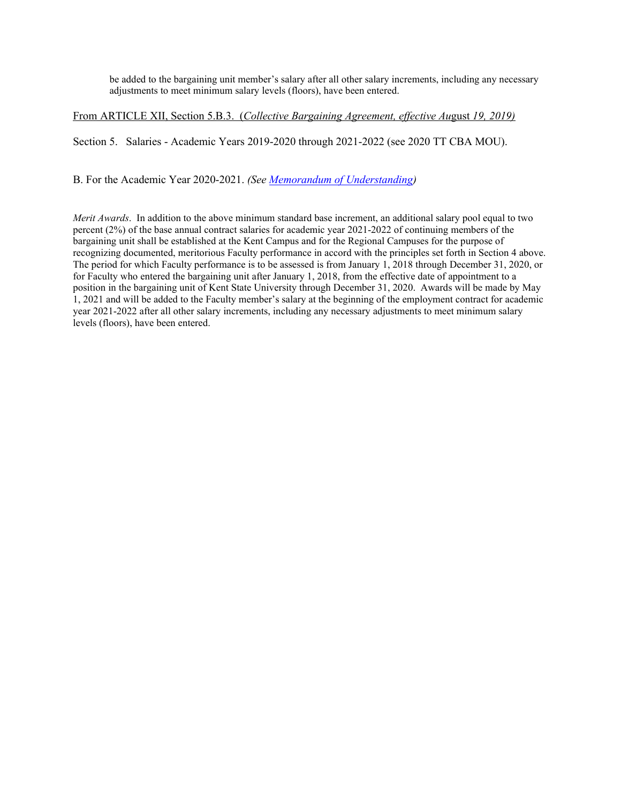be added to the bargaining unit member's salary after all other salary increments, including any necessary adjustments to meet minimum salary levels (floors), have been entered.

#### From ARTICLE XII, Section 5.B.3. (*Collective Bargaining Agreement, effective Au*gust *19, 2019)*

Section 5. Salaries - Academic Years 2019-2020 through 2021-2022 (see 2020 TT CBA MOU).

B. For the Academic Year 2020-2021. *(See [Memorandum of Understanding\)](#page-11-0)*

*Merit Awards*. In addition to the above minimum standard base increment, an additional salary pool equal to two percent (2%) of the base annual contract salaries for academic year 2021-2022 of continuing members of the bargaining unit shall be established at the Kent Campus and for the Regional Campuses for the purpose of recognizing documented, meritorious Faculty performance in accord with the principles set forth in Section 4 above. The period for which Faculty performance is to be assessed is from January 1, 2018 through December 31, 2020, or for Faculty who entered the bargaining unit after January 1, 2018, from the effective date of appointment to a position in the bargaining unit of Kent State University through December 31, 2020. Awards will be made by May 1, 2021 and will be added to the Faculty member's salary at the beginning of the employment contract for academic year 2021-2022 after all other salary increments, including any necessary adjustments to meet minimum salary levels (floors), have been entered.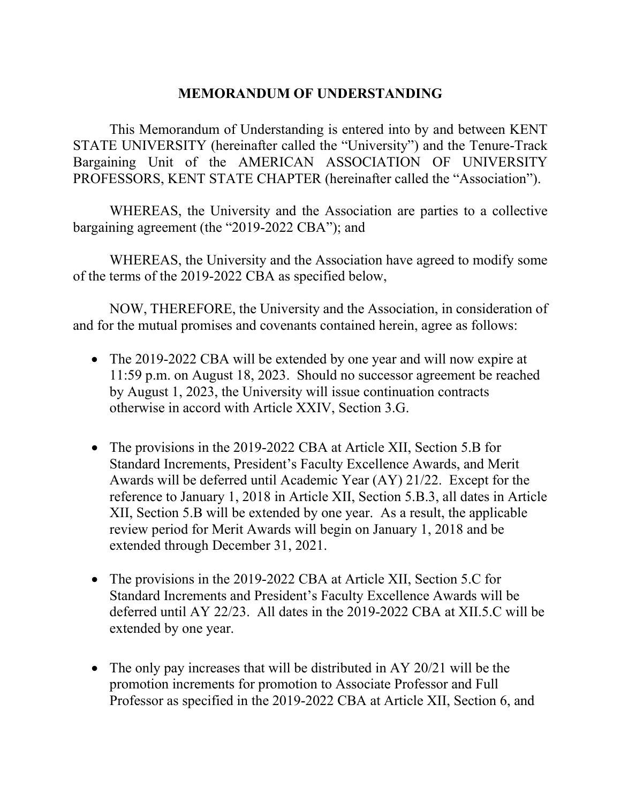## **MEMORANDUM OF UNDERSTANDING**

<span id="page-11-0"></span>This Memorandum of Understanding is entered into by and between KENT STATE UNIVERSITY (hereinafter called the "University") and the Tenure-Track Bargaining Unit of the AMERICAN ASSOCIATION OF UNIVERSITY PROFESSORS, KENT STATE CHAPTER (hereinafter called the "Association").

WHEREAS, the University and the Association are parties to a collective bargaining agreement (the "2019-2022 CBA"); and

WHEREAS, the University and the Association have agreed to modify some of the terms of the 2019-2022 CBA as specified below,

NOW, THEREFORE, the University and the Association, in consideration of and for the mutual promises and covenants contained herein, agree as follows:

- The 2019-2022 CBA will be extended by one year and will now expire at 11:59 p.m. on August 18, 2023. Should no successor agreement be reached by August 1, 2023, the University will issue continuation contracts otherwise in accord with Article XXIV, Section 3.G.
- The provisions in the 2019-2022 CBA at Article XII, Section 5.B for Standard Increments, President's Faculty Excellence Awards, and Merit Awards will be deferred until Academic Year (AY) 21/22. Except for the reference to January 1, 2018 in Article XII, Section 5.B.3, all dates in Article XII, Section 5.B will be extended by one year. As a result, the applicable review period for Merit Awards will begin on January 1, 2018 and be extended through December 31, 2021.
- The provisions in the 2019-2022 CBA at Article XII, Section 5.C for Standard Increments and President's Faculty Excellence Awards will be deferred until AY 22/23. All dates in the 2019-2022 CBA at XII.5.C will be extended by one year.
- The only pay increases that will be distributed in AY 20/21 will be the promotion increments for promotion to Associate Professor and Full Professor as specified in the 2019-2022 CBA at Article XII, Section 6, and